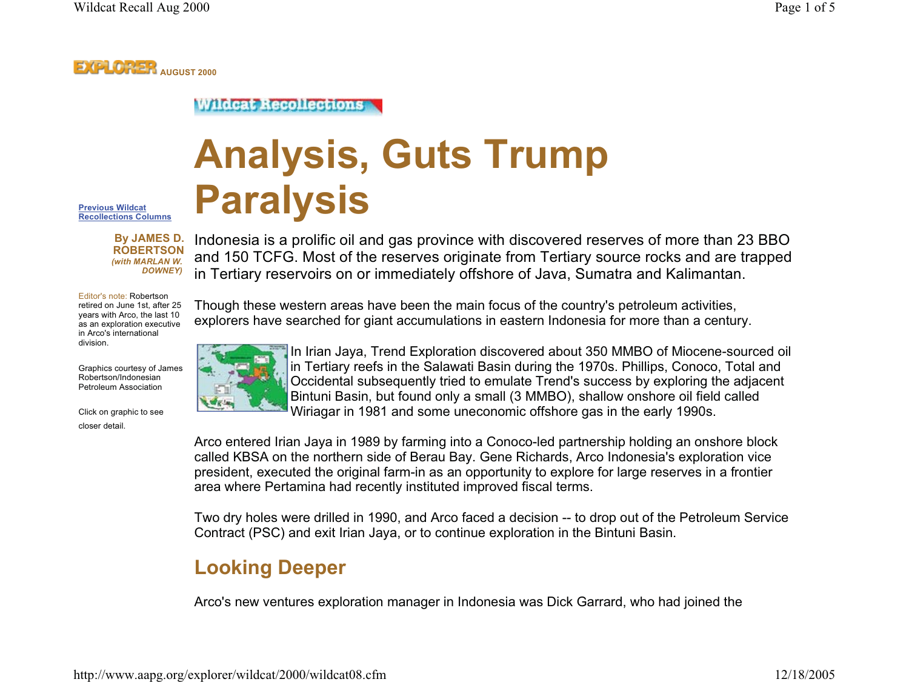## **EXPLORER AUGUST 2000**

#### **Wildcat Recollections**

# **Analysis, Guts Trump Paralysis**

**Previous Wildcat Recollections Columns**

> **By JAMES D. ROBERTSON** *(with MARLAN W. DOWNEY)*

Indonesia is a prolific oil and gas province with discovered reserves of more than 23 BBO and 150 TCFG. Most of the reserves originate from Tertiary source rocks and are trapped in Tertiary reservoirs on or immediately offshore of Java, Sumatra and Kalimantan.

Editor's note: Robertson retired on June 1st, after 25 years with Arco, the last 10 as an exploration executive in Arco's international division.

Graphics courtesy of James Robertson/Indonesian Petroleum Association

Click on graphic to see closer detail.





In Irian Jaya, Trend Exploration discovered about 350 MMBO of Miocene-sourced oil in Tertiary reefs in the Salawati Basin during the 1970s. Phillips, Conoco, Total and Occidental subsequently tried to emulate Trend's success by exploring the adjacent Bintuni Basin, but found only a small (3 MMBO), shallow onshore oil field called Wiriagar in 1981 and some uneconomic offshore gas in the early 1990s.

Arco entered Irian Jaya in 1989 by farming into a Conoco-led partnership holding an onshore block called KBSA on the northern side of Berau Bay. Gene Richards, Arco Indonesia's exploration vice president, executed the original farm-in as an opportunity to explore for large reserves in a frontier area where Pertamina had recently instituted improved fiscal terms.

Two dry holes were drilled in 1990, and Arco faced a decision -- to drop out of the Petroleum Service Contract (PSC) and exit Irian Jaya, or to continue exploration in the Bintuni Basin.

# **Looking Deeper**

Arco's new ventures exploration manager in Indonesia was Dick Garrard, who had joined the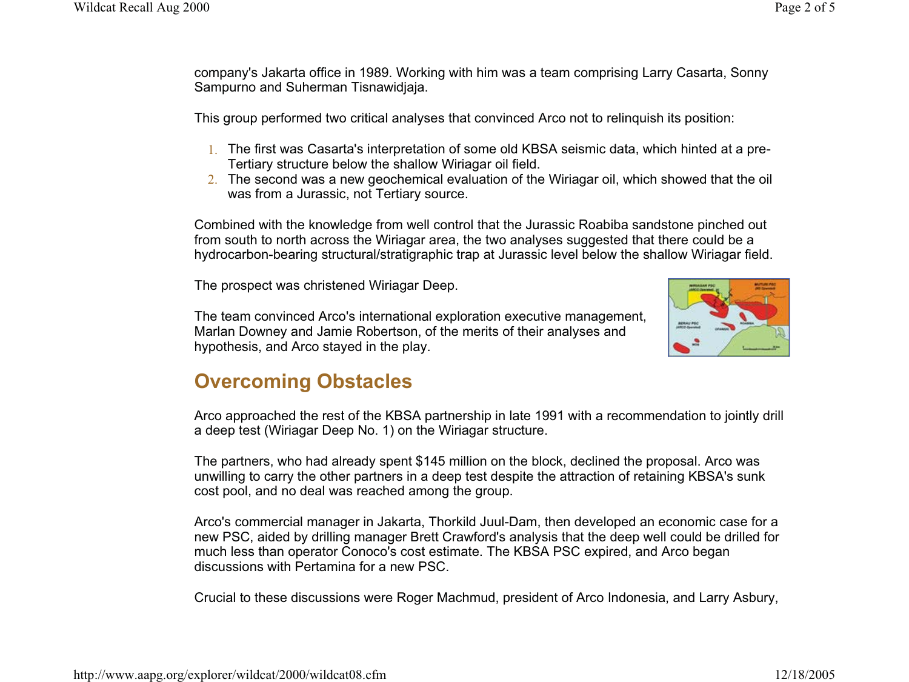company's Jakarta office in 1989. Working with him was a team comprising Larry Casarta, Sonny Sampurno and Suherman Tisnawidjaja.

This group performed two critical analyses that convinced Arco not to relinquish its position:

- 1. The first was Casarta's interpretation of some old KBSA seismic data, which hinted at a pre-Tertiary structure below the shallow Wiriagar oil field.
- $\overline{2}.$  The second was a new geochemical evaluation of the Wiriagar oil, which showed that the oil  $\overline{1}$ was from a Jurassic, not Tertiary source.

Combined with the knowledge from well control that the Jurassic Roabiba sandstone pinched out from south to north across the Wiriagar area, the two analyses suggested that there could be a hydrocarbon-bearing structural/stratigraphic trap at Jurassic level below the shallow Wiriagar field.

The prospect was christened Wiriagar Deep.

The team convinced Arco's international exploration executive management, Marlan Downey and Jamie Robertson, of the merits of their analyses and hypothesis, and Arco stayed in the play.



## **Overcoming Obstacles**

Arco approached the rest of the KBSA partnership in late 1991 with a recommendation to jointly drill a deep test (Wiriagar Deep No. 1) on the Wiriagar structure.

The partners, who had already spent \$145 million on the block, declined the proposal. Arco was unwilling to carry the other partners in a deep test despite the attraction of retaining KBSA's sunk cost pool, and no deal was reached among the group.

Arco's commercial manager in Jakarta, Thorkild Juul-Dam, then developed an economic case for a new PSC, aided by drilling manager Brett Crawford's analysis that the deep well could be drilled for much less than operator Conoco's cost estimate. The KBSA PSC expired, and Arco began discussions with Pertamina for a new PSC.

Crucial to these discussions were Roger Machmud, president of Arco Indonesia, and Larry Asbury,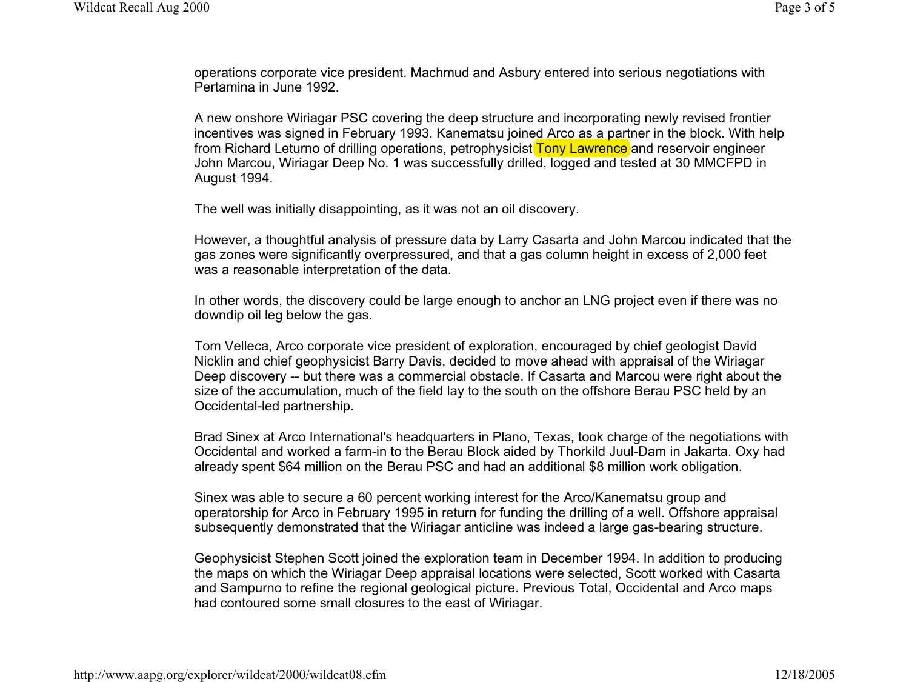operations corporate vice president. Machmud and Asbury entered into serious negotiations with Pertamina in June 1992.

A new onshore Wiriagar PSC covering the deep structure and incorporating newly revised frontier incentives was signed in February 1993. Kanematsu joine<u>d Arco as a part</u>ner in the block. With help from Richard Leturno of drilling operations, petrophysicist Tony Lawrence and reservoir engineer John Marcou, Wiriagar Deep No. 1 was successfully drilled, logged and tested at 30 MMCFPD in August 1994.

The well was initially disappointing, as it was not an oil discovery.

However, a thoughtful analysis of pressure data by Larry Casarta and John Marcou indicated that the gas zones were significantly overpressured, and that a gas column height in excess of 2,000 feet was a reasonable interpretation of the data.

In other words, the discovery could be large enough to anchor an LNG project even if there was no downdip oil leg below the gas.

Tom Velleca, Arco corporate vice president of exploration, encouraged by chief geologist David Nicklin and chief geophysicist Barry Davis, decided to move ahead with appraisal of the Wiriagar Deep discovery -- but there was a commercial obstacle. If Casarta and Marcou were right about the size of the accumulation, much of the field lay to the south on the offshore Berau PSC held by an Occidental-led partnership.

Brad Sinex at Arco International's headquarters in Plano, Texas, took charge of the negotiations with Occidental and worked a farm-in to the Berau Block aided by Thorkild Juul-Dam in Jakarta. Oxy had already spent \$64 million on the Berau PSC and had an additional \$8 million work obligation.

Sinex was able to secure a 60 percent working interest for the Arco/Kanematsu group and operatorship for Arco in February 1995 in return for funding the drilling of a well. Offshore appraisal subsequently demonstrated that the Wiriagar anticline was indeed a large gas-bearing structure.

Geophysicist Stephen Scott joined the exploration team in December 1994. In addition to producing the maps on which the Wiriagar Deep appraisal locations were selected, Scott worked with Casarta and Sampurno to refine the regional geological picture. Previous Total, Occidental and Arco maps had contoured some small closures to the east of Wiriagar.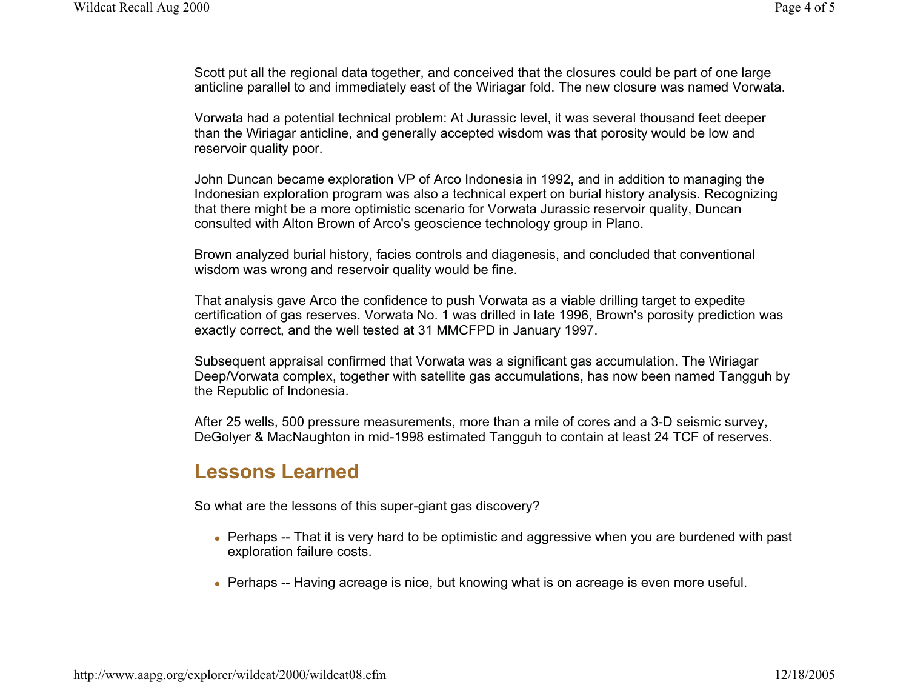Scott put all the regional data together, and conceived that the closures could be part of one large anticline parallel to and immediately east of the Wiriagar fold. The new closure was named Vorwata.

Vorwata had a potential technical problem: At Jurassic level, it was several thousand feet deeper than the Wiriagar anticline, and generally accepted wisdom was that porosity would be low and reservoir quality poor.

John Duncan became exploration VP of Arco Indonesia in 1992, and in addition to managing the Indonesian exploration program was also a technical expert on burial history analysis. Recognizing that there might be a more optimistic scenario for Vorwata Jurassic reservoir quality, Duncan consulted with Alton Brown of Arco's geoscience technology group in Plano.

Brown analyzed burial history, facies controls and diagenesis, and concluded that conventional wisdom was wrong and reservoir quality would be fine.

That analysis gave Arco the confidence to push Vorwata as a viable drilling target to expedite certification of gas reserves. Vorwata No. 1 was drilled in late 1996, Brown's porosity prediction was exactly correct, and the well tested at 31 MMCFPD in January 1997.

Subsequent appraisal confirmed that Vorwata was a significant gas accumulation. The Wiriagar Deep/Vorwata complex, together with satellite gas accumulations, has now been named Tangguh by the Republic of Indonesia.

After 25 wells, 500 pressure measurements, more than a mile of cores and a 3-D seismic survey, DeGolyer & MacNaughton in mid-1998 estimated Tangguh to contain at least 24 TCF of reserves.

## **Lessons Learned**

So what are the lessons of this super-giant gas discovery?

- Perhaps -- That it is very hard to be optimistic and aggressive when you are burdened with past exploration failure costs.
- Perhaps -- Having acreage is nice, but knowing what is on acreage is even more useful.